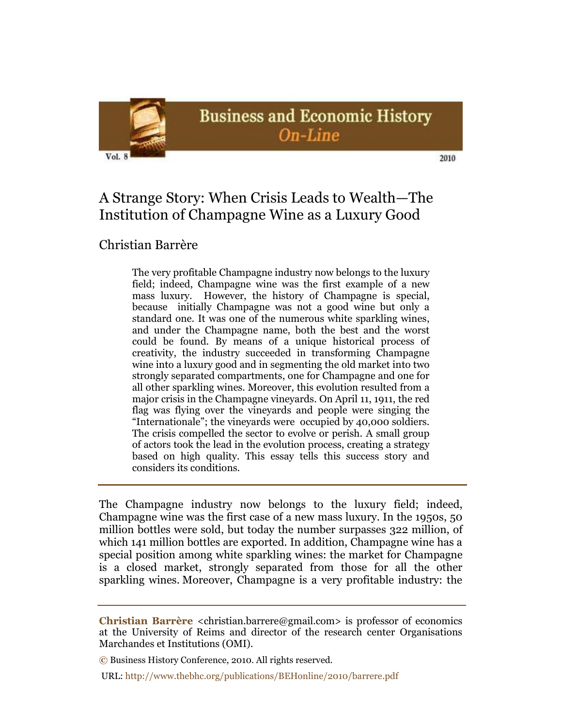

# A Strange Story: When Crisis Leads to Wealth—The Institution of Champagne Wine as a Luxury Good

## Christian Barrère

The very profitable Champagne industry now belongs to the luxury field; indeed, Champagne wine was the first example of a new mass luxury. However, the history of Champagne is special, because initially Champagne was not a good wine but only a standard one. It was one of the numerous white sparkling wines, and under the Champagne name, both the best and the worst could be found. By means of a unique historical process of creativity, the industry succeeded in transforming Champagne wine into a luxury good and in segmenting the old market into two strongly separated compartments, one for Champagne and one for all other sparkling wines. Moreover, this evolution resulted from a major crisis in the Champagne vineyards. On April 11, 1911, the red flag was flying over the vineyards and people were singing the "Internationale"; the vineyards were occupied by 40,000 soldiers. The crisis compelled the sector to evolve or perish. A small group of actors took the lead in the evolution process, creating a strategy based on high quality. This essay tells this success story and considers its conditions.

The Champagne industry now belongs to the luxury field; indeed, Champagne wine was the first case of a new mass luxury. In the 1950s, 50 million bottles were sold, but today the number surpasses 322 million, of which 141 million bottles are exported. In addition, Champagne wine has a special position among white sparkling wines: the market for Champagne is a closed market, strongly separated from those for all the other sparkling wines. Moreover, Champagne is a very profitable industry: the

URL: http://www.thebhc.org/publications/BEHonline/2010/barrere.pdf

**Christian Barrère** <christian.barrere@gmail.com> is professor of economics at the University of Reims and director of the research center Organisations Marchandes et Institutions (OMI).

**<sup>©</sup>** Business History Conference, 2010. All rights reserved.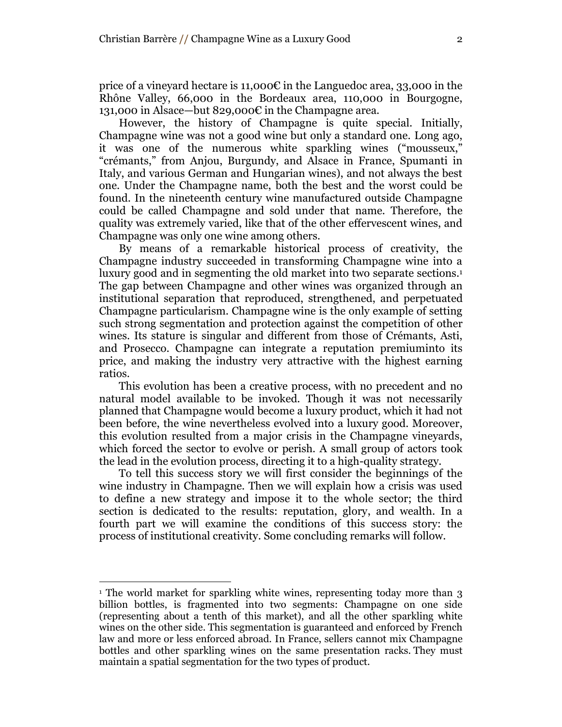price of a vineyard hectare is 11,000 $\varepsilon$  in the Languedoc area, 33,000 in the Rhône Valley, 66,000 in the Bordeaux area, 110,000 in Bourgogne, 131,000 in Alsace—but 829,000€ in the Champagne area.

However, the history of Champagne is quite special. Initially, Champagne wine was not a good wine but only a standard one. Long ago, it was one of the numerous white sparkling wines ("mousseux," "crémants," from Anjou, Burgundy, and Alsace in France, Spumanti in Italy, and various German and Hungarian wines), and not always the best one. Under the Champagne name, both the best and the worst could be found. In the nineteenth century wine manufactured outside Champagne could be called Champagne and sold under that name. Therefore, the quality was extremely varied, like that of the other effervescent wines, and Champagne was only one wine among others.

By means of a remarkable historical process of creativity, the Champagne industry succeeded in transforming Champagne wine into a luxury good and in segmenting the old market into two separate sections. 1 The gap between Champagne and other wines was organized through an institutional separation that reproduced, strengthened, and perpetuated Champagne particularism. Champagne wine is the only example of setting such strong segmentation and protection against the competition of other wines. Its stature is singular and different from those of Crémants, Asti, and Prosecco. Champagne can integrate a reputation premiuminto its price, and making the industry very attractive with the highest earning ratios.

This evolution has been a creative process, with no precedent and no natural model available to be invoked. Though it was not necessarily planned that Champagne would become a luxury product, which it had not been before, the wine nevertheless evolved into a luxury good. Moreover, this evolution resulted from a major crisis in the Champagne vineyards, which forced the sector to evolve or perish. A small group of actors took the lead in the evolution process, directing it to a high-quality strategy.

To tell this success story we will first consider the beginnings of the wine industry in Champagne. Then we will explain how a crisis was used to define a new strategy and impose it to the whole sector; the third section is dedicated to the results: reputation, glory, and wealth. In a fourth part we will examine the conditions of this success story: the process of institutional creativity. Some concluding remarks will follow.

<sup>&</sup>lt;sup>1</sup> The world market for sparkling white wines, representing today more than 3 billion bottles, is fragmented into two segments: Champagne on one side (representing about a tenth of this market), and all the other sparkling white wines on the other side. This segmentation is guaranteed and enforced by French law and more or less enforced abroad. In France, sellers cannot mix Champagne bottles and other sparkling wines on the same presentation racks. They must maintain a spatial segmentation for the two types of product.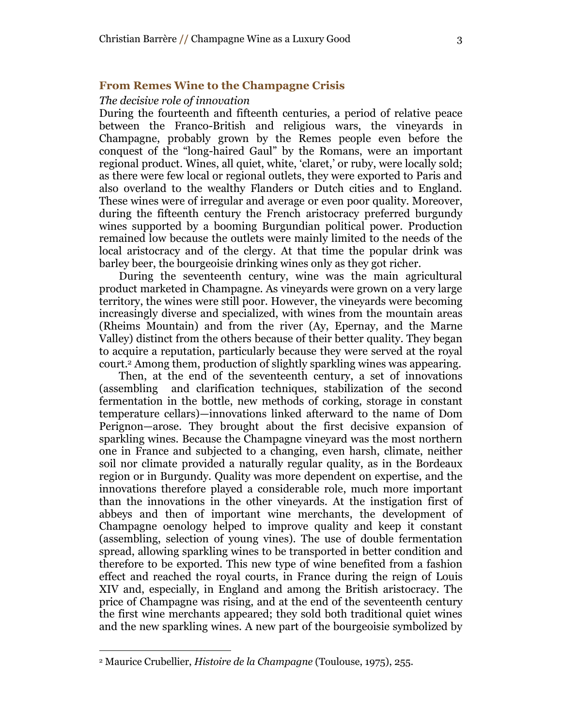## **From Remes Wine to the Champagne Crisis**

## *The decisive role of innovation*

During the fourteenth and fifteenth centuries, a period of relative peace between the Franco-British and religious wars, the vineyards in Champagne, probably grown by the Remes people even before the conquest of the "long-haired Gaul" by the Romans, were an important regional product. Wines, all quiet, white, 'claret,' or ruby, were locally sold; as there were few local or regional outlets, they were exported to Paris and also overland to the wealthy Flanders or Dutch cities and to England. These wines were of irregular and average or even poor quality. Moreover, during the fifteenth century the French aristocracy preferred burgundy wines supported by a booming Burgundian political power. Production remained low because the outlets were mainly limited to the needs of the local aristocracy and of the clergy. At that time the popular drink was barley beer, the bourgeoisie drinking wines only as they got richer.

During the seventeenth century, wine was the main agricultural product marketed in Champagne. As vineyards were grown on a very large territory, the wines were still poor. However, the vineyards were becoming increasingly diverse and specialized, with wines from the mountain areas (Rheims Mountain) and from the river (Ay, Epernay, and the Marne Valley) distinct from the others because of their better quality. They began to acquire a reputation, particularly because they were served at the royal court. <sup>2</sup> Among them, production of slightly sparkling wines was appearing.

Then, at the end of the seventeenth century, a set of innovations (assembling and clarification techniques, stabilization of the second fermentation in the bottle, new methods of corking, storage in constant temperature cellars)—innovations linked afterward to the name of Dom Perignon—arose. They brought about the first decisive expansion of sparkling wines. Because the Champagne vineyard was the most northern one in France and subjected to a changing, even harsh, climate, neither soil nor climate provided a naturally regular quality, as in the Bordeaux region or in Burgundy. Quality was more dependent on expertise, and the innovations therefore played a considerable role, much more important than the innovations in the other vineyards. At the instigation first of abbeys and then of important wine merchants, the development of Champagne oenology helped to improve quality and keep it constant (assembling, selection of young vines). The use of double fermentation spread, allowing sparkling wines to be transported in better condition and therefore to be exported. This new type of wine benefited from a fashion effect and reached the royal courts, in France during the reign of Louis XIV and, especially, in England and among the British aristocracy. The price of Champagne was rising, and at the end of the seventeenth century the first wine merchants appeared; they sold both traditional quiet wines and the new sparkling wines. A new part of the bourgeoisie symbolized by

<sup>2</sup> Maurice Crubellier, *Histoire de la Champagne* (Toulouse, 1975), 255.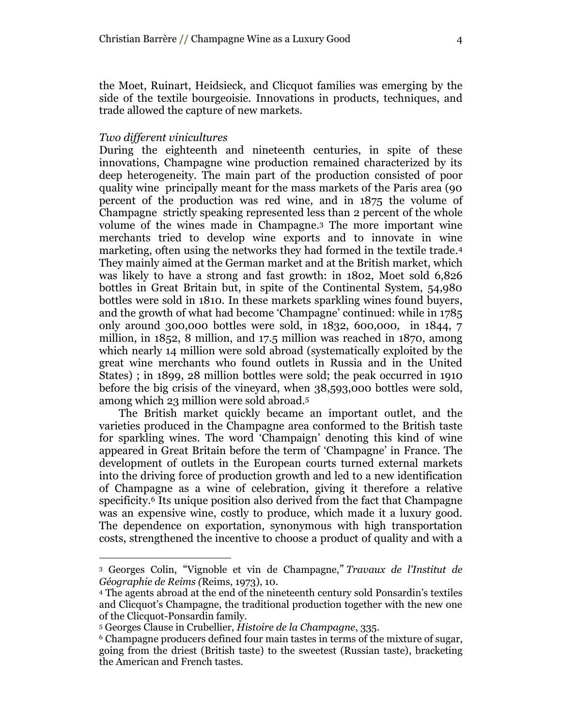the Moet, Ruinart, Heidsieck, and Clicquot families was emerging by the side of the textile bourgeoisie. Innovations in products, techniques, and trade allowed the capture of new markets.

#### *Two different vinicultures*

 $\overline{a}$ 

During the eighteenth and nineteenth centuries, in spite of these innovations, Champagne wine production remained characterized by its deep heterogeneity. The main part of the production consisted of poor quality wine principally meant for the mass markets of the Paris area (90 percent of the production was red wine, and in 1875 the volume of Champagne strictly speaking represented less than 2 percent of the whole volume of the wines made in Champagne. <sup>3</sup> The more important wine merchants tried to develop wine exports and to innovate in wine marketing, often using the networks they had formed in the textile trade. 4 They mainly aimed at the German market and at the British market, which was likely to have a strong and fast growth: in 1802, Moet sold 6,826 bottles in Great Britain but, in spite of the Continental System, 54,980 bottles were sold in 1810. In these markets sparkling wines found buyers, and the growth of what had become "Champagne" continued: while in 1785 only around 300,000 bottles were sold, in 1832, 600,000, in 1844, 7 million, in 1852, 8 million, and 17.5 million was reached in 1870, among which nearly 14 million were sold abroad (systematically exploited by the great wine merchants who found outlets in Russia and in the United States) ; in 1899, 28 million bottles were sold; the peak occurred in 1910 before the big crisis of the vineyard, when 38,593,000 bottles were sold, among which 23 million were sold abroad. 5

The British market quickly became an important outlet, and the varieties produced in the Champagne area conformed to the British taste for sparkling wines. The word "Champaign" denoting this kind of wine appeared in Great Britain before the term of "Champagne" in France. The development of outlets in the European courts turned external markets into the driving force of production growth and led to a new identification of Champagne as a wine of celebration, giving it therefore a relative specificity. <sup>6</sup> Its unique position also derived from the fact that Champagne was an expensive wine, costly to produce, which made it a luxury good. The dependence on exportation, synonymous with high transportation costs, strengthened the incentive to choose a product of quality and with a

<sup>3</sup> Georges Colin, "Vignoble et vin de Champagne," *Travaux de l'Institut de Géographie de Reims (*Reims, 1973), 10.

<sup>4</sup> The agents abroad at the end of the nineteenth century sold Ponsardin"s textiles and Clicquot's Champagne, the traditional production together with the new one of the Clicquot-Ponsardin family.

<sup>5</sup> Georges Clause in Crubellier, *Histoire de la Champagne*, 335.

<sup>6</sup> Champagne producers defined four main tastes in terms of the mixture of sugar, going from the driest (British taste) to the sweetest (Russian taste), bracketing the American and French tastes.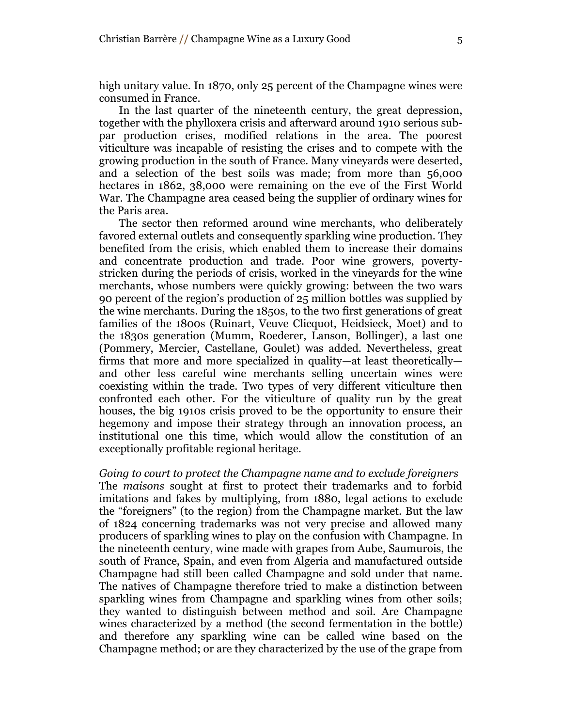high unitary value. In 1870, only 25 percent of the Champagne wines were consumed in France.

In the last quarter of the nineteenth century, the great depression, together with the phylloxera crisis and afterward around 1910 serious subpar production crises, modified relations in the area. The poorest viticulture was incapable of resisting the crises and to compete with the growing production in the south of France. Many vineyards were deserted, and a selection of the best soils was made; from more than 56,000 hectares in 1862, 38,000 were remaining on the eve of the First World War. The Champagne area ceased being the supplier of ordinary wines for the Paris area.

The sector then reformed around wine merchants, who deliberately favored external outlets and consequently sparkling wine production. They benefited from the crisis, which enabled them to increase their domains and concentrate production and trade. Poor wine growers, povertystricken during the periods of crisis, worked in the vineyards for the wine merchants, whose numbers were quickly growing: between the two wars 90 percent of the region"s production of 25 million bottles was supplied by the wine merchants. During the 1850s, to the two first generations of great families of the 1800s (Ruinart, Veuve Clicquot, Heidsieck, Moet) and to the 1830s generation (Mumm, Roederer, Lanson, Bollinger), a last one (Pommery, Mercier, Castellane, Goulet) was added. Nevertheless, great firms that more and more specialized in quality—at least theoretically and other less careful wine merchants selling uncertain wines were coexisting within the trade. Two types of very different viticulture then confronted each other. For the viticulture of quality run by the great houses, the big 1910s crisis proved to be the opportunity to ensure their hegemony and impose their strategy through an innovation process, an institutional one this time, which would allow the constitution of an exceptionally profitable regional heritage.

*Going to court to protect the Champagne name and to exclude foreigners* The *maisons* sought at first to protect their trademarks and to forbid imitations and fakes by multiplying, from 1880, legal actions to exclude the "foreigners" (to the region) from the Champagne market. But the law of 1824 concerning trademarks was not very precise and allowed many producers of sparkling wines to play on the confusion with Champagne. In the nineteenth century, wine made with grapes from Aube, Saumurois, the south of France, Spain, and even from Algeria and manufactured outside Champagne had still been called Champagne and sold under that name. The natives of Champagne therefore tried to make a distinction between sparkling wines from Champagne and sparkling wines from other soils; they wanted to distinguish between method and soil. Are Champagne wines characterized by a method (the second fermentation in the bottle) and therefore any sparkling wine can be called wine based on the Champagne method; or are they characterized by the use of the grape from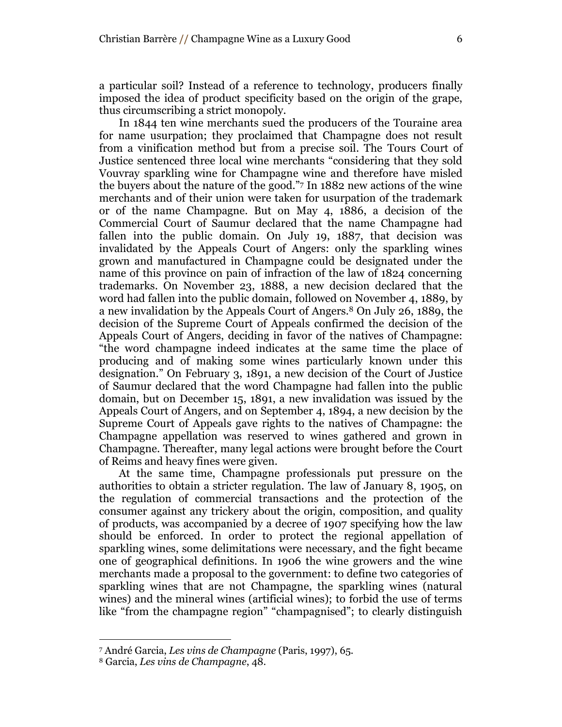a particular soil? Instead of a reference to technology, producers finally imposed the idea of product specificity based on the origin of the grape, thus circumscribing a strict monopoly.

In 1844 ten wine merchants sued the producers of the Touraine area for name usurpation; they proclaimed that Champagne does not result from a vinification method but from a precise soil. The Tours Court of Justice sentenced three local wine merchants "considering that they sold Vouvray sparkling wine for Champagne wine and therefore have misled the buyers about the nature of the good." <sup>7</sup> In 1882 new actions of the wine merchants and of their union were taken for usurpation of the trademark or of the name Champagne. But on May 4, 1886, a decision of the Commercial Court of Saumur declared that the name Champagne had fallen into the public domain. On July 19, 1887, that decision was invalidated by the Appeals Court of Angers: only the sparkling wines grown and manufactured in Champagne could be designated under the name of this province on pain of infraction of the law of 1824 concerning trademarks. On November 23, 1888, a new decision declared that the word had fallen into the public domain, followed on November 4, 1889, by a new invalidation by the Appeals Court of Angers. <sup>8</sup> On July 26, 1889, the decision of the Supreme Court of Appeals confirmed the decision of the Appeals Court of Angers, deciding in favor of the natives of Champagne: "the word champagne indeed indicates at the same time the place of producing and of making some wines particularly known under this designation." On February 3, 1891, a new decision of the Court of Justice of Saumur declared that the word Champagne had fallen into the public domain, but on December 15, 1891, a new invalidation was issued by the Appeals Court of Angers, and on September 4, 1894, a new decision by the Supreme Court of Appeals gave rights to the natives of Champagne: the Champagne appellation was reserved to wines gathered and grown in Champagne. Thereafter, many legal actions were brought before the Court of Reims and heavy fines were given.

At the same time, Champagne professionals put pressure on the authorities to obtain a stricter regulation. The law of January 8, 1905, on the regulation of commercial transactions and the protection of the consumer against any trickery about the origin, composition, and quality of products, was accompanied by a decree of 1907 specifying how the law should be enforced. In order to protect the regional appellation of sparkling wines, some delimitations were necessary, and the fight became one of geographical definitions. In 1906 the wine growers and the wine merchants made a proposal to the government: to define two categories of sparkling wines that are not Champagne, the sparkling wines (natural wines) and the mineral wines (artificial wines); to forbid the use of terms like "from the champagne region" "champagnised"; to clearly distinguish

<sup>7</sup> André Garcia, *Les vins de Champagne* (Paris, 1997), 65.

<sup>8</sup> Garcia, *Les vins de Champagne*, 48.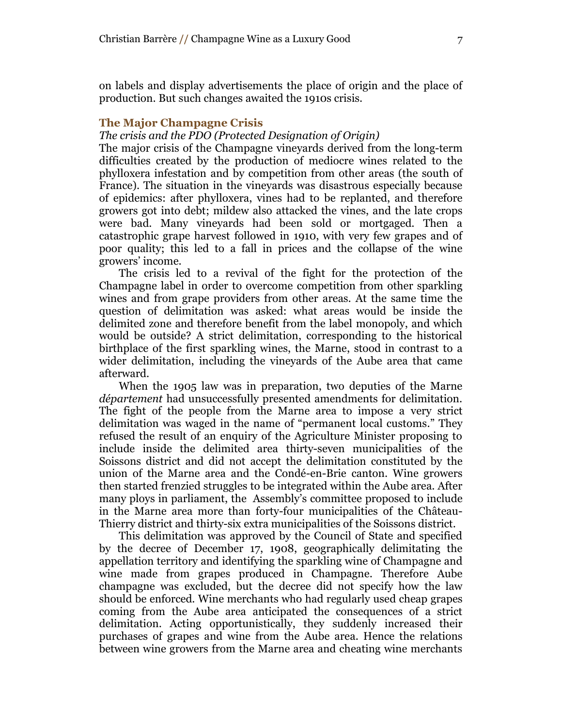on labels and display advertisements the place of origin and the place of production. But such changes awaited the 1910s crisis.

### **The Major Champagne Crisis**

*The crisis and the PDO (Protected Designation of Origin)*

The major crisis of the Champagne vineyards derived from the long-term difficulties created by the production of mediocre wines related to the phylloxera infestation and by competition from other areas (the south of France). The situation in the vineyards was disastrous especially because of epidemics: after phylloxera, vines had to be replanted, and therefore growers got into debt; mildew also attacked the vines, and the late crops were bad. Many vineyards had been sold or mortgaged. Then a catastrophic grape harvest followed in 1910, with very few grapes and of poor quality; this led to a fall in prices and the collapse of the wine growers" income.

The crisis led to a revival of the fight for the protection of the Champagne label in order to overcome competition from other sparkling wines and from grape providers from other areas. At the same time the question of delimitation was asked: what areas would be inside the delimited zone and therefore benefit from the label monopoly, and which would be outside? A strict delimitation, corresponding to the historical birthplace of the first sparkling wines, the Marne, stood in contrast to a wider delimitation, including the vineyards of the Aube area that came afterward.

When the 1905 law was in preparation, two deputies of the Marne *département* had unsuccessfully presented amendments for delimitation. The fight of the people from the Marne area to impose a very strict delimitation was waged in the name of "permanent local customs." They refused the result of an enquiry of the Agriculture Minister proposing to include inside the delimited area thirty-seven municipalities of the Soissons district and did not accept the delimitation constituted by the union of the Marne area and the Condé-en-Brie canton. Wine growers then started frenzied struggles to be integrated within the Aube area. After many ploys in parliament, the Assembly"s committee proposed to include in the Marne area more than forty-four municipalities of the Château-Thierry district and thirty-six extra municipalities of the Soissons district.

This delimitation was approved by the Council of State and specified by the decree of December 17, 1908, geographically delimitating the appellation territory and identifying the sparkling wine of Champagne and wine made from grapes produced in Champagne. Therefore Aube champagne was excluded, but the decree did not specify how the law should be enforced. Wine merchants who had regularly used cheap grapes coming from the Aube area anticipated the consequences of a strict delimitation. Acting opportunistically, they suddenly increased their purchases of grapes and wine from the Aube area. Hence the relations between wine growers from the Marne area and cheating wine merchants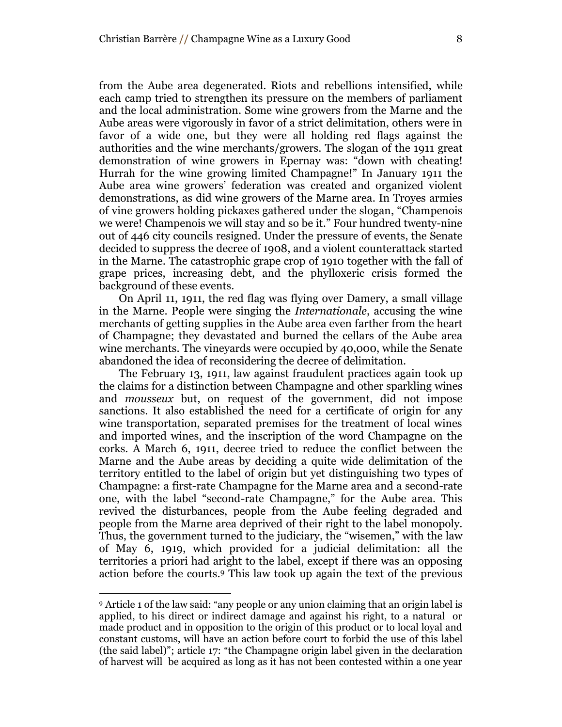each camp tried to strengthen its pressure on the members of parliament and the local administration. Some wine growers from the Marne and the Aube areas were vigorously in favor of a strict delimitation, others were in favor of a wide one, but they were all holding red flags against the authorities and the wine merchants/growers. The slogan of the 1911 great demonstration of wine growers in Epernay was: "down with cheating! Hurrah for the wine growing limited Champagne!" In January 1911 the Aube area wine growers" federation was created and organized violent demonstrations, as did wine growers of the Marne area. In Troyes armies of vine growers holding pickaxes gathered under the slogan, "Champenois we were! Champenois we will stay and so be it." Four hundred twenty-nine out of 446 city councils resigned. Under the pressure of events, the Senate decided to suppress the decree of 1908, and a violent counterattack started in the Marne. The catastrophic grape crop of 1910 together with the fall of grape prices, increasing debt, and the phylloxeric crisis formed the background of these events.

On April 11, 1911, the red flag was flying over Damery, a small village in the Marne. People were singing the *Internationale*, accusing the wine merchants of getting supplies in the Aube area even farther from the heart of Champagne; they devastated and burned the cellars of the Aube area wine merchants. The vineyards were occupied by 40,000, while the Senate abandoned the idea of reconsidering the decree of delimitation.

The February 13, 1911, law against fraudulent practices again took up the claims for a distinction between Champagne and other sparkling wines and *mousseux* but, on request of the government, did not impose sanctions. It also established the need for a certificate of origin for any wine transportation, separated premises for the treatment of local wines and imported wines, and the inscription of the word Champagne on the corks. A March 6, 1911, decree tried to reduce the conflict between the Marne and the Aube areas by deciding a quite wide delimitation of the territory entitled to the label of origin but yet distinguishing two types of Champagne: a first-rate Champagne for the Marne area and a second-rate one, with the label "second-rate Champagne," for the Aube area. This revived the disturbances, people from the Aube feeling degraded and people from the Marne area deprived of their right to the label monopoly. Thus, the government turned to the judiciary, the "wisemen," with the law of May 6, 1919, which provided for a judicial delimitation: all the territories a priori had aright to the label, except if there was an opposing action before the courts. <sup>9</sup> This law took up again the text of the previous

<sup>9</sup> Article 1 of the law said: "any people or any union claiming that an origin label is applied, to his direct or indirect damage and against his right, to a natural or made product and in opposition to the origin of this product or to local loyal and constant customs, will have an action before court to forbid the use of this label (the said label)"; article 17: "the Champagne origin label given in the declaration of harvest will be acquired as long as it has not been contested within a one year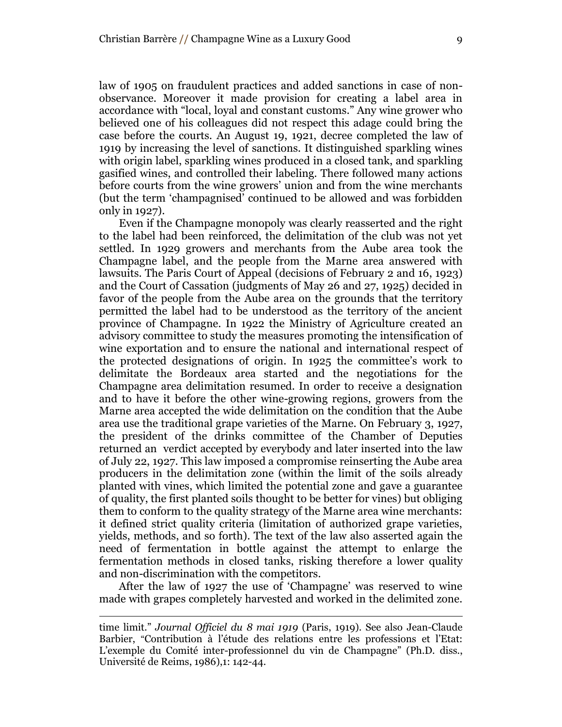law of 1905 on fraudulent practices and added sanctions in case of nonobservance. Moreover it made provision for creating a label area in accordance with "local, loyal and constant customs." Any wine grower who believed one of his colleagues did not respect this adage could bring the case before the courts. An August 19, 1921, decree completed the law of 1919 by increasing the level of sanctions. It distinguished sparkling wines

with origin label, sparkling wines produced in a closed tank, and sparkling gasified wines, and controlled their labeling. There followed many actions before courts from the wine growers" union and from the wine merchants (but the term "champagnised" continued to be allowed and was forbidden only in 1927).

Even if the Champagne monopoly was clearly reasserted and the right to the label had been reinforced, the delimitation of the club was not yet settled. In 1929 growers and merchants from the Aube area took the Champagne label, and the people from the Marne area answered with lawsuits. The Paris Court of Appeal (decisions of February 2 and 16, 1923) and the Court of Cassation (judgments of May 26 and 27, 1925) decided in favor of the people from the Aube area on the grounds that the territory permitted the label had to be understood as the territory of the ancient province of Champagne. In 1922 the Ministry of Agriculture created an advisory committee to study the measures promoting the intensification of wine exportation and to ensure the national and international respect of the protected designations of origin. In 1925 the committee"s work to delimitate the Bordeaux area started and the negotiations for the Champagne area delimitation resumed. In order to receive a designation and to have it before the other wine-growing regions, growers from the Marne area accepted the wide delimitation on the condition that the Aube area use the traditional grape varieties of the Marne. On February 3, 1927, the president of the drinks committee of the Chamber of Deputies returned an verdict accepted by everybody and later inserted into the law of July 22, 1927. This law imposed a compromise reinserting the Aube area producers in the delimitation zone (within the limit of the soils already planted with vines, which limited the potential zone and gave a guarantee of quality, the first planted soils thought to be better for vines) but obliging them to conform to the quality strategy of the Marne area wine merchants: it defined strict quality criteria (limitation of authorized grape varieties, yields, methods, and so forth). The text of the law also asserted again the need of fermentation in bottle against the attempt to enlarge the fermentation methods in closed tanks, risking therefore a lower quality and non-discrimination with the competitors.

After the law of 1927 the use of "Champagne" was reserved to wine made with grapes completely harvested and worked in the delimited zone.

time limit." *Journal Officiel du 8 mai 1919* (Paris, 1919). See also Jean-Claude Barbier, "Contribution à l"étude des relations entre les professions et l"Etat: L"exemple du Comité inter-professionnel du vin de Champagne" (Ph.D. diss., Université de Reims, 1986),1: 142-44.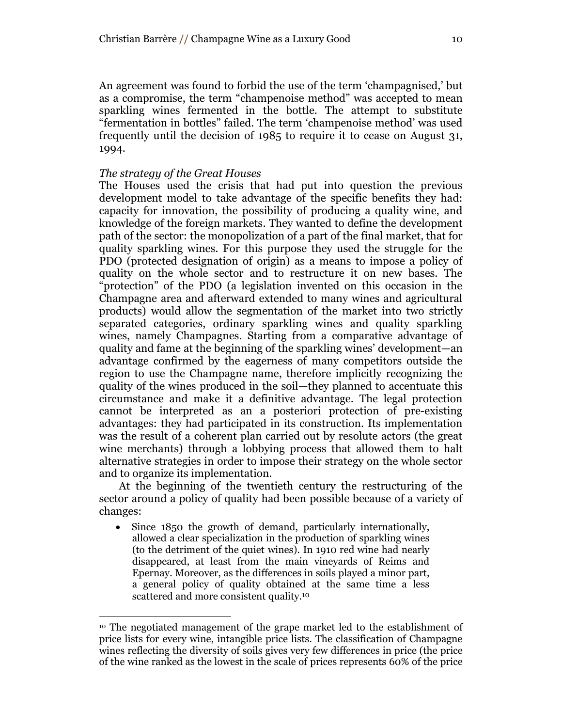An agreement was found to forbid the use of the term "champagnised," but as a compromise, the term "champenoise method" was accepted to mean sparkling wines fermented in the bottle. The attempt to substitute "fermentation in bottles" failed. The term "champenoise method" was used frequently until the decision of 1985 to require it to cease on August 31, 1994.

## *The strategy of the Great Houses*

 $\overline{a}$ 

The Houses used the crisis that had put into question the previous development model to take advantage of the specific benefits they had: capacity for innovation, the possibility of producing a quality wine, and knowledge of the foreign markets. They wanted to define the development path of the sector: the monopolization of a part of the final market, that for quality sparkling wines. For this purpose they used the struggle for the PDO (protected designation of origin) as a means to impose a policy of quality on the whole sector and to restructure it on new bases. The "protection" of the PDO (a legislation invented on this occasion in the Champagne area and afterward extended to many wines and agricultural products) would allow the segmentation of the market into two strictly separated categories, ordinary sparkling wines and quality sparkling wines, namely Champagnes. Starting from a comparative advantage of quality and fame at the beginning of the sparkling wines" development—an advantage confirmed by the eagerness of many competitors outside the region to use the Champagne name, therefore implicitly recognizing the quality of the wines produced in the soil—they planned to accentuate this circumstance and make it a definitive advantage. The legal protection cannot be interpreted as an a posteriori protection of pre-existing advantages: they had participated in its construction. Its implementation was the result of a coherent plan carried out by resolute actors (the great wine merchants) through a lobbying process that allowed them to halt alternative strategies in order to impose their strategy on the whole sector and to organize its implementation.

At the beginning of the twentieth century the restructuring of the sector around a policy of quality had been possible because of a variety of changes:

• Since 1850 the growth of demand, particularly internationally, allowed a clear specialization in the production of sparkling wines (to the detriment of the quiet wines). In 1910 red wine had nearly disappeared, at least from the main vineyards of Reims and Epernay. Moreover, as the differences in soils played a minor part, a general policy of quality obtained at the same time a less scattered and more consistent quality.<sup>10</sup>

<sup>10</sup> The negotiated management of the grape market led to the establishment of price lists for every wine, intangible price lists. The classification of Champagne wines reflecting the diversity of soils gives very few differences in price (the price of the wine ranked as the lowest in the scale of prices represents 60% of the price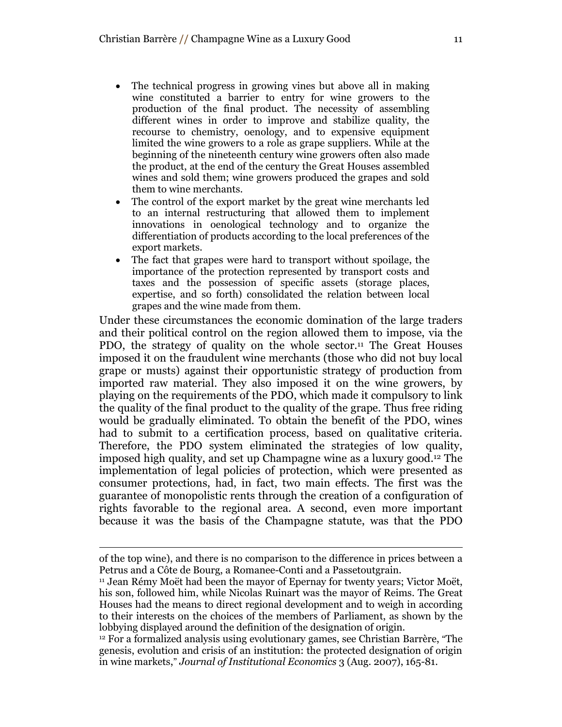- The technical progress in growing vines but above all in making wine constituted a barrier to entry for wine growers to the production of the final product. The necessity of assembling different wines in order to improve and stabilize quality, the recourse to chemistry, oenology, and to expensive equipment limited the wine growers to a role as grape suppliers. While at the beginning of the nineteenth century wine growers often also made the product, at the end of the century the Great Houses assembled wines and sold them; wine growers produced the grapes and sold them to wine merchants.
- The control of the export market by the great wine merchants led to an internal restructuring that allowed them to implement innovations in oenological technology and to organize the differentiation of products according to the local preferences of the export markets.
- The fact that grapes were hard to transport without spoilage, the importance of the protection represented by transport costs and taxes and the possession of specific assets (storage places, expertise, and so forth) consolidated the relation between local grapes and the wine made from them.

Under these circumstances the economic domination of the large traders and their political control on the region allowed them to impose, via the PDO, the strategy of quality on the whole sector. <sup>11</sup> The Great Houses imposed it on the fraudulent wine merchants (those who did not buy local grape or musts) against their opportunistic strategy of production from imported raw material. They also imposed it on the wine growers, by playing on the requirements of the PDO, which made it compulsory to link the quality of the final product to the quality of the grape. Thus free riding would be gradually eliminated. To obtain the benefit of the PDO, wines had to submit to a certification process, based on qualitative criteria. Therefore, the PDO system eliminated the strategies of low quality, imposed high quality, and set up Champagne wine as a luxury good. <sup>12</sup> The implementation of legal policies of protection, which were presented as consumer protections, had, in fact, two main effects. The first was the guarantee of monopolistic rents through the creation of a configuration of rights favorable to the regional area. A second, even more important because it was the basis of the Champagne statute, was that the PDO

of the top wine), and there is no comparison to the difference in prices between a Petrus and a Côte de Bourg, a Romanee-Conti and a Passetoutgrain.

<sup>11</sup> Jean Rémy Moët had been the mayor of Epernay for twenty years; Victor Moët, his son, followed him, while Nicolas Ruinart was the mayor of Reims. The Great Houses had the means to direct regional development and to weigh in according to their interests on the choices of the members of Parliament, as shown by the lobbying displayed around the definition of the designation of origin.

<sup>12</sup> For a formalized analysis using evolutionary games, see Christian Barrère, "The genesis, evolution and crisis of an institution: the protected designation of origin in wine markets," *Journal of Institutional Economics* 3 (Aug. 2007), 165-81.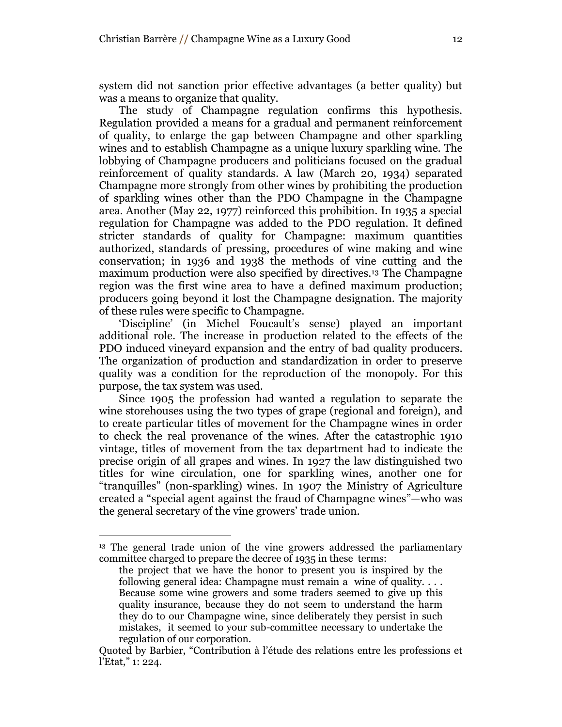system did not sanction prior effective advantages (a better quality) but was a means to organize that quality.

The study of Champagne regulation confirms this hypothesis. Regulation provided a means for a gradual and permanent reinforcement of quality, to enlarge the gap between Champagne and other sparkling wines and to establish Champagne as a unique luxury sparkling wine. The lobbying of Champagne producers and politicians focused on the gradual reinforcement of quality standards. A law (March 20, 1934) separated Champagne more strongly from other wines by prohibiting the production of sparkling wines other than the PDO Champagne in the Champagne area. Another (May 22, 1977) reinforced this prohibition. In 1935 a special regulation for Champagne was added to the PDO regulation. It defined stricter standards of quality for Champagne: maximum quantities authorized, standards of pressing, procedures of wine making and wine conservation; in 1936 and 1938 the methods of vine cutting and the maximum production were also specified by directives.<sup>13</sup> The Champagne region was the first wine area to have a defined maximum production; producers going beyond it lost the Champagne designation. The majority of these rules were specific to Champagne.

"Discipline" (in Michel Foucault"s sense) played an important additional role. The increase in production related to the effects of the PDO induced vineyard expansion and the entry of bad quality producers. The organization of production and standardization in order to preserve quality was a condition for the reproduction of the monopoly. For this purpose, the tax system was used.

Since 1905 the profession had wanted a regulation to separate the wine storehouses using the two types of grape (regional and foreign), and to create particular titles of movement for the Champagne wines in order to check the real provenance of the wines. After the catastrophic 1910 vintage, titles of movement from the tax department had to indicate the precise origin of all grapes and wines. In 1927 the law distinguished two titles for wine circulation, one for sparkling wines, another one for "tranquilles" (non-sparkling) wines. In 1907 the Ministry of Agriculture created a "special agent against the fraud of Champagne wines"—who was the general secretary of the vine growers' trade union.

<sup>&</sup>lt;sup>13</sup> The general trade union of the vine growers addressed the parliamentary committee charged to prepare the decree of 1935 in these terms:

the project that we have the honor to present you is inspired by the following general idea: Champagne must remain a wine of quality. . . . Because some wine growers and some traders seemed to give up this quality insurance, because they do not seem to understand the harm they do to our Champagne wine, since deliberately they persist in such mistakes, it seemed to your sub-committee necessary to undertake the regulation of our corporation.

Quoted by Barbier, "Contribution à l"étude des relations entre les professions et l'Etat," 1: 224.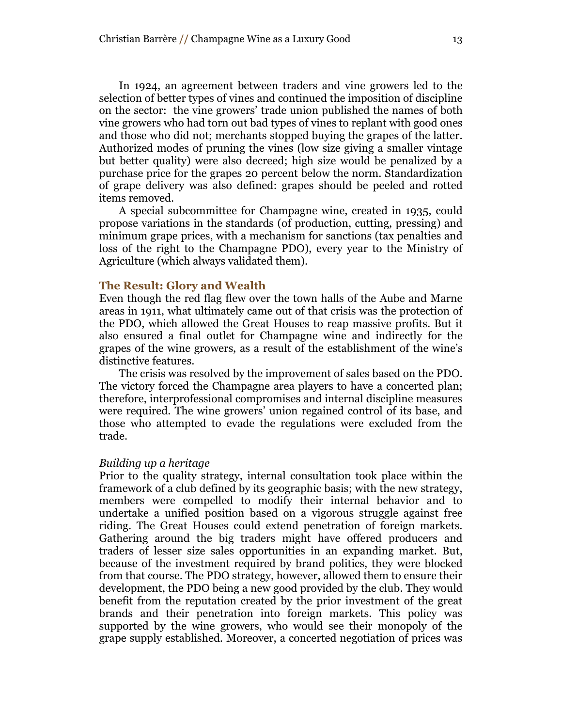In 1924, an agreement between traders and vine growers led to the selection of better types of vines and continued the imposition of discipline on the sector: the vine growers" trade union published the names of both vine growers who had torn out bad types of vines to replant with good ones and those who did not; merchants stopped buying the grapes of the latter. Authorized modes of pruning the vines (low size giving a smaller vintage but better quality) were also decreed; high size would be penalized by a purchase price for the grapes 20 percent below the norm. Standardization of grape delivery was also defined: grapes should be peeled and rotted items removed.

A special subcommittee for Champagne wine, created in 1935, could propose variations in the standards (of production, cutting, pressing) and minimum grape prices, with a mechanism for sanctions (tax penalties and loss of the right to the Champagne PDO), every year to the Ministry of Agriculture (which always validated them).

### **The Result: Glory and Wealth**

Even though the red flag flew over the town halls of the Aube and Marne areas in 1911, what ultimately came out of that crisis was the protection of the PDO, which allowed the Great Houses to reap massive profits. But it also ensured a final outlet for Champagne wine and indirectly for the grapes of the wine growers, as a result of the establishment of the wine"s distinctive features.

The crisis was resolved by the improvement of sales based on the PDO. The victory forced the Champagne area players to have a concerted plan; therefore, interprofessional compromises and internal discipline measures were required. The wine growers" union regained control of its base, and those who attempted to evade the regulations were excluded from the trade.

#### *Building up a heritage*

Prior to the quality strategy, internal consultation took place within the framework of a club defined by its geographic basis; with the new strategy, members were compelled to modify their internal behavior and to undertake a unified position based on a vigorous struggle against free riding. The Great Houses could extend penetration of foreign markets. Gathering around the big traders might have offered producers and traders of lesser size sales opportunities in an expanding market. But, because of the investment required by brand politics, they were blocked from that course. The PDO strategy, however, allowed them to ensure their development, the PDO being a new good provided by the club. They would benefit from the reputation created by the prior investment of the great brands and their penetration into foreign markets. This policy was supported by the wine growers, who would see their monopoly of the grape supply established. Moreover, a concerted negotiation of prices was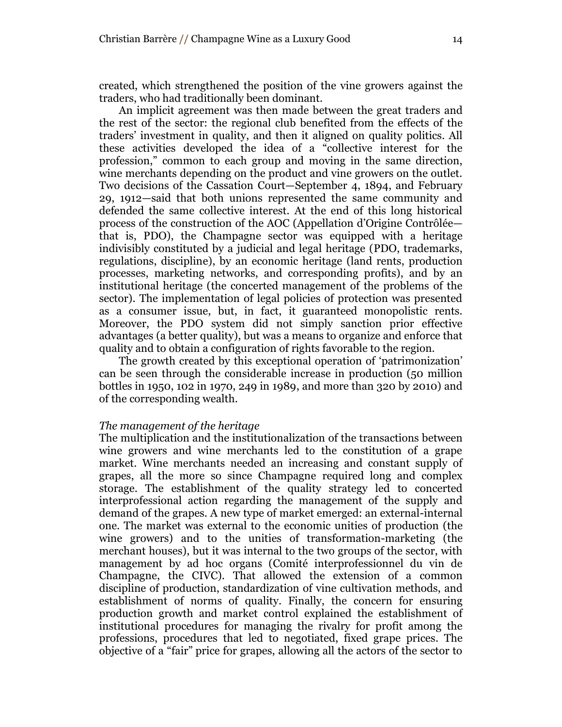created, which strengthened the position of the vine growers against the traders, who had traditionally been dominant.

An implicit agreement was then made between the great traders and the rest of the sector: the regional club benefited from the effects of the traders" investment in quality, and then it aligned on quality politics. All these activities developed the idea of a "collective interest for the profession," common to each group and moving in the same direction, wine merchants depending on the product and vine growers on the outlet. Two decisions of the Cassation Court—September 4, 1894, and February 29, 1912—said that both unions represented the same community and defended the same collective interest. At the end of this long historical process of the construction of the AOC (Appellation d"Origine Contrôlée that is, PDO), the Champagne sector was equipped with a heritage indivisibly constituted by a judicial and legal heritage (PDO, trademarks, regulations, discipline), by an economic heritage (land rents, production processes, marketing networks, and corresponding profits), and by an institutional heritage (the concerted management of the problems of the sector). The implementation of legal policies of protection was presented as a consumer issue, but, in fact, it guaranteed monopolistic rents. Moreover, the PDO system did not simply sanction prior effective advantages (a better quality), but was a means to organize and enforce that quality and to obtain a configuration of rights favorable to the region.

The growth created by this exceptional operation of 'patrimonization' can be seen through the considerable increase in production (50 million bottles in 1950, 102 in 1970, 249 in 1989, and more than 320 by 2010) and of the corresponding wealth.

### *The management of the heritage*

The multiplication and the institutionalization of the transactions between wine growers and wine merchants led to the constitution of a grape market. Wine merchants needed an increasing and constant supply of grapes, all the more so since Champagne required long and complex storage. The establishment of the quality strategy led to concerted interprofessional action regarding the management of the supply and demand of the grapes. A new type of market emerged: an external-internal one. The market was external to the economic unities of production (the wine growers) and to the unities of transformation-marketing (the merchant houses), but it was internal to the two groups of the sector, with management by ad hoc organs (Comité interprofessionnel du vin de Champagne, the CIVC). That allowed the extension of a common discipline of production, standardization of vine cultivation methods, and establishment of norms of quality. Finally, the concern for ensuring production growth and market control explained the establishment of institutional procedures for managing the rivalry for profit among the professions, procedures that led to negotiated, fixed grape prices. The objective of a "fair" price for grapes, allowing all the actors of the sector to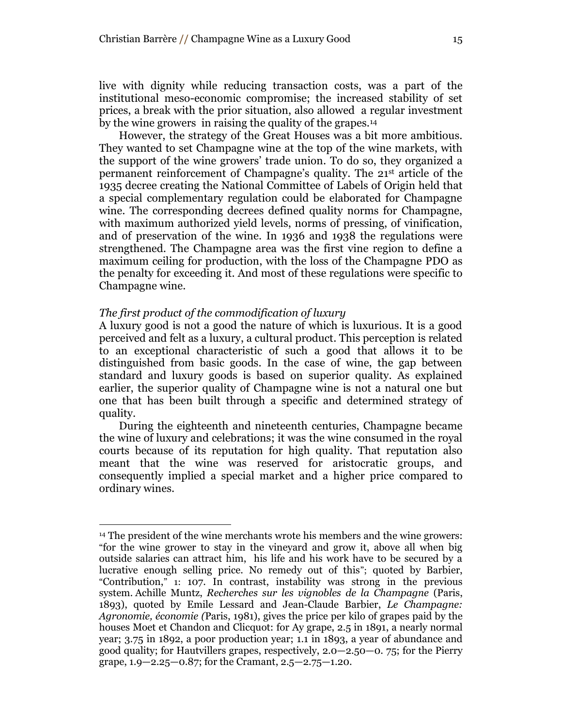live with dignity while reducing transaction costs, was a part of the institutional meso-economic compromise; the increased stability of set prices, a break with the prior situation, also allowed a regular investment by the wine growers in raising the quality of the grapes. 14

However, the strategy of the Great Houses was a bit more ambitious. They wanted to set Champagne wine at the top of the wine markets, with the support of the wine growers" trade union. To do so, they organized a permanent reinforcement of Champagne"s quality. The 21st article of the 1935 decree creating the National Committee of Labels of Origin held that a special complementary regulation could be elaborated for Champagne wine. The corresponding decrees defined quality norms for Champagne, with maximum authorized yield levels, norms of pressing, of vinification, and of preservation of the wine. In 1936 and 1938 the regulations were strengthened. The Champagne area was the first vine region to define a maximum ceiling for production, with the loss of the Champagne PDO as the penalty for exceeding it. And most of these regulations were specific to Champagne wine.

### *The first product of the commodification of luxury*

 $\overline{a}$ 

A luxury good is not a good the nature of which is luxurious. It is a good perceived and felt as a luxury, a cultural product. This perception is related to an exceptional characteristic of such a good that allows it to be distinguished from basic goods. In the case of wine, the gap between standard and luxury goods is based on superior quality. As explained earlier, the superior quality of Champagne wine is not a natural one but one that has been built through a specific and determined strategy of quality.

During the eighteenth and nineteenth centuries, Champagne became the wine of luxury and celebrations; it was the wine consumed in the royal courts because of its reputation for high quality. That reputation also meant that the wine was reserved for aristocratic groups, and consequently implied a special market and a higher price compared to ordinary wines.

<sup>14</sup> The president of the wine merchants wrote his members and the wine growers: "for the wine grower to stay in the vineyard and grow it, above all when big outside salaries can attract him, his life and his work have to be secured by a lucrative enough selling price. No remedy out of this"; quoted by Barbier, "Contribution," 1: 107. In contrast, instability was strong in the previous system. Achille Muntz, *Recherches sur les vignobles de la Champagne* (Paris, 1893), quoted by Emile Lessard and Jean-Claude Barbier, *Le Champagne: Agronomie, économie (*Paris, 1981), gives the price per kilo of grapes paid by the houses Moet et Chandon and Clicquot: for Ay grape, 2.5 in 1891, a nearly normal year; 3.75 in 1892, a poor production year; 1.1 in 1893, a year of abundance and good quality; for Hautvillers grapes, respectively, 2.0—2.50—0. 75; for the Pierry grape, 1.9—2.25—0.87; for the Cramant, 2.5—2.75—1.20.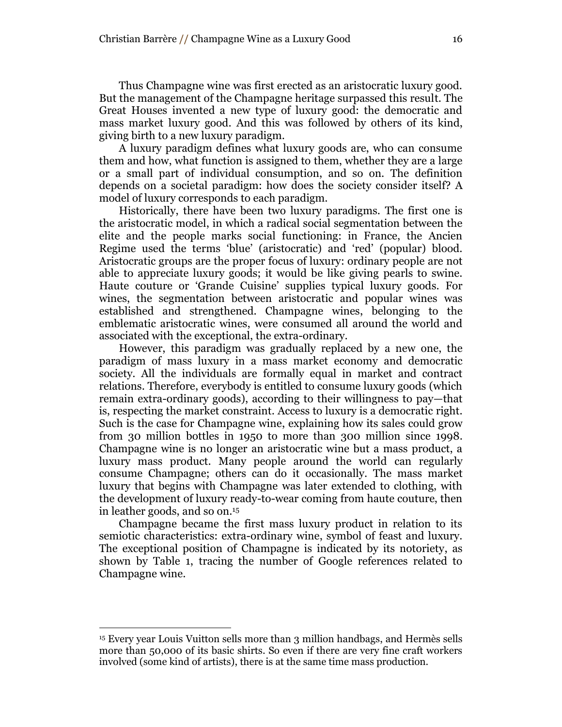Thus Champagne wine was first erected as an aristocratic luxury good. But the management of the Champagne heritage surpassed this result. The Great Houses invented a new type of luxury good: the democratic and mass market luxury good. And this was followed by others of its kind, giving birth to a new luxury paradigm.

A luxury paradigm defines what luxury goods are, who can consume them and how, what function is assigned to them, whether they are a large or a small part of individual consumption, and so on. The definition depends on a societal paradigm: how does the society consider itself? A model of luxury corresponds to each paradigm.

Historically, there have been two luxury paradigms. The first one is the aristocratic model, in which a radical social segmentation between the elite and the people marks social functioning: in France, the Ancien Regime used the terms "blue" (aristocratic) and "red" (popular) blood. Aristocratic groups are the proper focus of luxury: ordinary people are not able to appreciate luxury goods; it would be like giving pearls to swine. Haute couture or "Grande Cuisine" supplies typical luxury goods. For wines, the segmentation between aristocratic and popular wines was established and strengthened. Champagne wines, belonging to the emblematic aristocratic wines, were consumed all around the world and associated with the exceptional, the extra-ordinary.

However, this paradigm was gradually replaced by a new one, the paradigm of mass luxury in a mass market economy and democratic society. All the individuals are formally equal in market and contract relations. Therefore, everybody is entitled to consume luxury goods (which remain extra-ordinary goods), according to their willingness to pay—that is, respecting the market constraint. Access to luxury is a democratic right. Such is the case for Champagne wine, explaining how its sales could grow from 30 million bottles in 1950 to more than 300 million since 1998. Champagne wine is no longer an aristocratic wine but a mass product, a luxury mass product. Many people around the world can regularly consume Champagne; others can do it occasionally. The mass market luxury that begins with Champagne was later extended to clothing, with the development of luxury ready-to-wear coming from haute couture, then in leather goods, and so on. 15

Champagne became the first mass luxury product in relation to its semiotic characteristics: extra-ordinary wine, symbol of feast and luxury. The exceptional position of Champagne is indicated by its notoriety, as shown by Table 1, tracing the number of Google references related to Champagne wine.

<sup>15</sup> Every year Louis Vuitton sells more than 3 million handbags, and Hermès sells more than 50,000 of its basic shirts. So even if there are very fine craft workers involved (some kind of artists), there is at the same time mass production.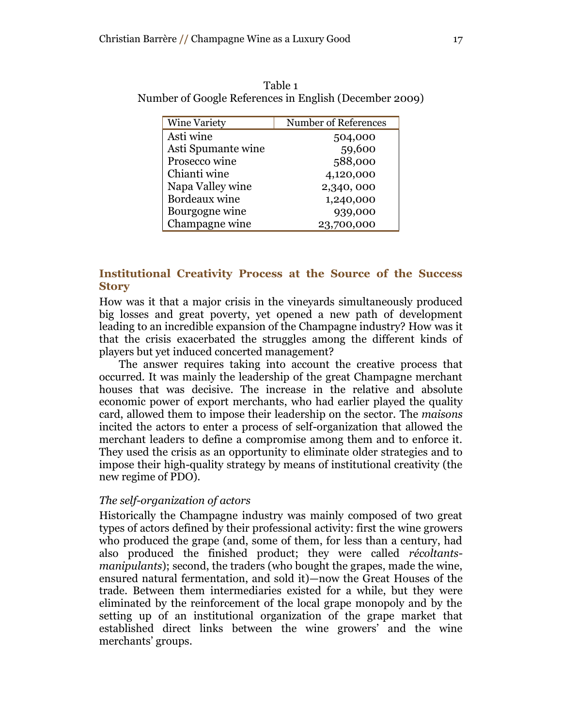| <b>Wine Variety</b> | Number of References |
|---------------------|----------------------|
| Asti wine           | 504,000              |
| Asti Spumante wine  | 59,600               |
| Prosecco wine       | 588,000              |
| Chianti wine        | 4,120,000            |
| Napa Valley wine    | 2,340,000            |
| Bordeaux wine       | 1,240,000            |
| Bourgogne wine      | 939,000              |
| Champagne wine      | 23,700,000           |

Table 1 Number of Google References in English (December 2009)

## **Institutional Creativity Process at the Source of the Success Story**

How was it that a major crisis in the vineyards simultaneously produced big losses and great poverty, yet opened a new path of development leading to an incredible expansion of the Champagne industry? How was it that the crisis exacerbated the struggles among the different kinds of players but yet induced concerted management?

The answer requires taking into account the creative process that occurred. It was mainly the leadership of the great Champagne merchant houses that was decisive. The increase in the relative and absolute economic power of export merchants, who had earlier played the quality card, allowed them to impose their leadership on the sector. The *maisons* incited the actors to enter a process of self-organization that allowed the merchant leaders to define a compromise among them and to enforce it. They used the crisis as an opportunity to eliminate older strategies and to impose their high-quality strategy by means of institutional creativity (the new regime of PDO).

## *The self-organization of actors*

Historically the Champagne industry was mainly composed of two great types of actors defined by their professional activity: first the wine growers who produced the grape (and, some of them, for less than a century, had also produced the finished product; they were called *récoltantsmanipulants*); second, the traders (who bought the grapes, made the wine, ensured natural fermentation, and sold it)—now the Great Houses of the trade. Between them intermediaries existed for a while, but they were eliminated by the reinforcement of the local grape monopoly and by the setting up of an institutional organization of the grape market that established direct links between the wine growers" and the wine merchants' groups.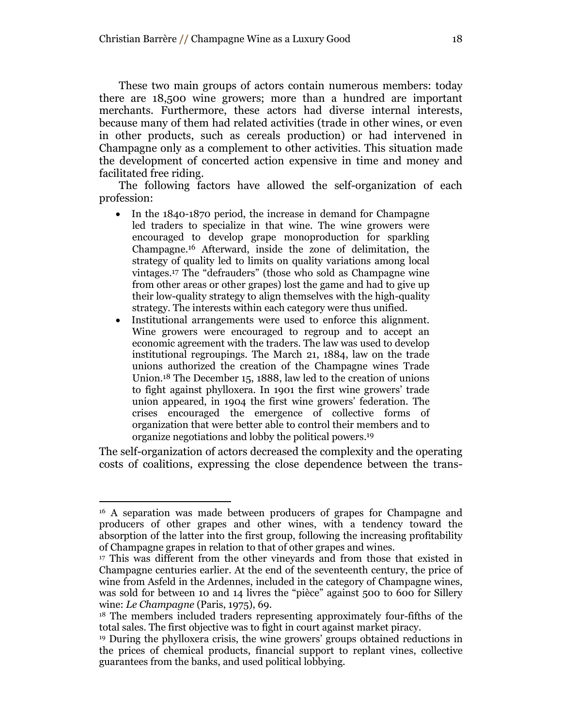These two main groups of actors contain numerous members: today there are 18,500 wine growers; more than a hundred are important merchants. Furthermore, these actors had diverse internal interests, because many of them had related activities (trade in other wines, or even in other products, such as cereals production) or had intervened in Champagne only as a complement to other activities. This situation made the development of concerted action expensive in time and money and facilitated free riding.

The following factors have allowed the self-organization of each profession:

- In the 1840-1870 period, the increase in demand for Champagne led traders to specialize in that wine. The wine growers were encouraged to develop grape monoproduction for sparkling Champagne. <sup>16</sup> Afterward, inside the zone of delimitation, the strategy of quality led to limits on quality variations among local vintages. <sup>17</sup> The "defrauders" (those who sold as Champagne wine from other areas or other grapes) lost the game and had to give up their low-quality strategy to align themselves with the high-quality strategy. The interests within each category were thus unified.
- Institutional arrangements were used to enforce this alignment. Wine growers were encouraged to regroup and to accept an economic agreement with the traders. The law was used to develop institutional regroupings. The March 21, 1884, law on the trade unions authorized the creation of the Champagne wines Trade Union. <sup>18</sup> The December 15, 1888, law led to the creation of unions to fight against phylloxera. In 1901 the first wine growers" trade union appeared, in 1904 the first wine growers" federation. The crises encouraged the emergence of collective forms of organization that were better able to control their members and to organize negotiations and lobby the political powers. 19

The self-organization of actors decreased the complexity and the operating costs of coalitions, expressing the close dependence between the trans-

<sup>16</sup> A separation was made between producers of grapes for Champagne and producers of other grapes and other wines, with a tendency toward the absorption of the latter into the first group, following the increasing profitability of Champagne grapes in relation to that of other grapes and wines.

<sup>17</sup> This was different from the other vineyards and from those that existed in Champagne centuries earlier. At the end of the seventeenth century, the price of wine from Asfeld in the Ardennes, included in the category of Champagne wines, was sold for between 10 and 14 livres the "pièce" against 500 to 600 for Sillery wine: *Le Champagne* (Paris, 1975), 69.

<sup>18</sup> The members included traders representing approximately four-fifths of the total sales. The first objective was to fight in court against market piracy.

<sup>&</sup>lt;sup>19</sup> During the phylloxera crisis, the wine growers' groups obtained reductions in the prices of chemical products, financial support to replant vines, collective guarantees from the banks, and used political lobbying.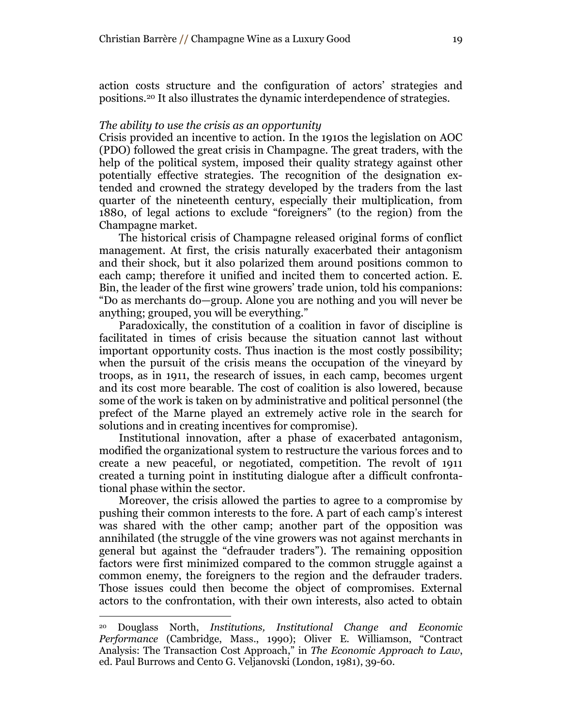action costs structure and the configuration of actors' strategies and positions.<sup>20</sup> It also illustrates the dynamic interdependence of strategies.

#### *The ability to use the crisis as an opportunity*

Crisis provided an incentive to action. In the 1910s the legislation on AOC (PDO) followed the great crisis in Champagne. The great traders, with the help of the political system, imposed their quality strategy against other potentially effective strategies. The recognition of the designation extended and crowned the strategy developed by the traders from the last quarter of the nineteenth century, especially their multiplication, from 1880, of legal actions to exclude "foreigners" (to the region) from the Champagne market.

The historical crisis of Champagne released original forms of conflict management. At first, the crisis naturally exacerbated their antagonism and their shock, but it also polarized them around positions common to each camp; therefore it unified and incited them to concerted action. E. Bin, the leader of the first wine growers' trade union, told his companions: "Do as merchants do—group. Alone you are nothing and you will never be anything; grouped, you will be everything."

Paradoxically, the constitution of a coalition in favor of discipline is facilitated in times of crisis because the situation cannot last without important opportunity costs. Thus inaction is the most costly possibility; when the pursuit of the crisis means the occupation of the vineyard by troops, as in 1911, the research of issues, in each camp, becomes urgent and its cost more bearable. The cost of coalition is also lowered, because some of the work is taken on by administrative and political personnel (the prefect of the Marne played an extremely active role in the search for solutions and in creating incentives for compromise).

Institutional innovation, after a phase of exacerbated antagonism, modified the organizational system to restructure the various forces and to create a new peaceful, or negotiated, competition. The revolt of 1911 created a turning point in instituting dialogue after a difficult confrontational phase within the sector.

Moreover, the crisis allowed the parties to agree to a compromise by pushing their common interests to the fore. A part of each camp"s interest was shared with the other camp; another part of the opposition was annihilated (the struggle of the vine growers was not against merchants in general but against the "defrauder traders"). The remaining opposition factors were first minimized compared to the common struggle against a common enemy, the foreigners to the region and the defrauder traders. Those issues could then become the object of compromises. External actors to the confrontation, with their own interests, also acted to obtain

<sup>20</sup> Douglass North, *Institutions, Institutional Change and Economic Performance* (Cambridge, Mass., 1990); Oliver E. Williamson, "Contract Analysis: The Transaction Cost Approach," in *The Economic Approach to Law*, ed. Paul Burrows and Cento G. Veljanovski (London, 1981), 39-60.